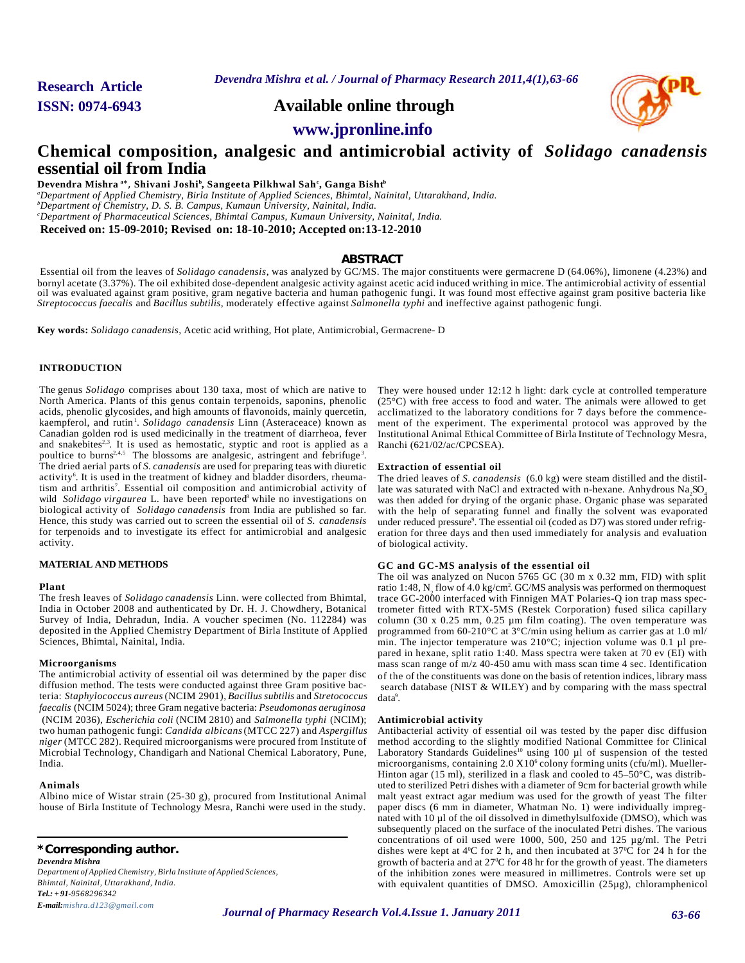**Research Article**

*Devendra Mishra et al. / Journal of Pharmacy Research 2011,4(1),63-66*

**ISSN: 0974-6943 Available online through**



**www.jpronline.info**

# **Chemical composition, analgesic and antimicrobial activity of** *Solidago canadensis* **essential oil from India**

**Devendra Mishra a**<sup>∗</sup> , **Shivani Joshi<sup>b</sup> , Sangeeta Pilkhwal Sah<sup>c</sup> , Ganga Bisht<sup>b</sup>**

*<sup>a</sup>Department of Applied Chemistry, Birla Institute of Applied Sciences, Bhimtal, Nainital, Uttarakhand, India. <sup>b</sup>Department of Chemistry, D. S. B. Campus, Kumaun University, Nainital, India. <sup>c</sup>Department of Pharmaceutical Sciences, Bhimtal Campus, Kumaun University, Nainital, India.* **Received on: 15-09-2010; Revised on: 18-10-2010; Accepted on:13-12-2010**

# **ABSTRACT**

 Essential oil from the leaves of *Solidago canadensis*, was analyzed by GC/MS. The major constituents were germacrene D (64.06%), limonene (4.23%) and bornyl acetate (3.37%). The oil exhibited dose-dependent analgesic activity against acetic acid induced writhing in mice. The antimicrobial activity of essential oil was evaluated against gram positive, gram negative bacteria and human pathogenic fungi. It was found most effective against gram positive bacteria like *Streptococcus faecalis* and *Bacillus subtilis*, moderately effective against *Salmonella typhi* and ineffective against pathogenic fungi.

**Key words:** *Solidago canadensis*, Acetic acid writhing, Hot plate, Antimicrobial, Germacrene- D

# **INTRODUCTION**

The genus *Solidago* comprises about 130 taxa, most of which are native to North America. Plants of this genus contain terpenoids, saponins, phenolic acids, phenolic glycosides, and high amounts of flavonoids, mainly quercetin, kaempferol, and rutin<sup>1</sup>. Solidago canadensis Linn (Asteraceace) known as Canadian golden rod is used medicinally in the treatment of diarrheoa, fever and snakebites<sup>2,3</sup>. It is used as hemostatic, styptic and root is applied as a poultice to burns<sup>2,4,5</sup> The blossoms are analgesic, astringent and febrifuge<sup>3</sup>. The dried aerial parts of *S. canadensis* are used for preparing teas with diuretic activity<sup>6</sup>. It is used in the treatment of kidney and bladder disorders, rheumatism and arthritis<sup>7</sup>. Essential oil composition and antimicrobial activity of wild *Solidago virgaurea* L. have been reported<sup>8</sup> while no investigations on biological activity of *Solidago canadensis* from India are published so far*.* Hence, this study was carried out to screen the essential oil of *S. canadensis* for terpenoids and to investigate its effect for antimicrobial and analgesic activity.

# **MATERIAL AND METHODS**

### **Plant**

The fresh leaves of *Solidago canadensis* Linn. were collected from Bhimtal, India in October 2008 and authenticated by Dr. H. J. Chowdhery, Botanical Survey of India, Dehradun, India. A voucher specimen (No. 112284) was deposited in the Applied Chemistry Department of Birla Institute of Applied Sciences, Bhimtal, Nainital, India.

#### **Microorganisms**

The antimicrobial activity of essential oil was determined by the paper disc diffusion method. The tests were conducted against three Gram positive bacteria: *Staphylococcus aureus* (NCIM 2901), *Bacillus subtilis* and *Stretococcus faecalis* (NCIM 5024); three Gram negative bacteria: *Pseudomonas aeruginosa* (NCIM 2036), *Escherichia coli* (NCIM 2810) and *Salmonella typhi* (NCIM); two human pathogenic fungi: *Candida albicans* (MTCC 227) and *Aspergillus niger* (MTCC 282). Required microorganisms were procured from Institute of Microbial Technology, Chandigarh and National Chemical Laboratory, Pune, India.

#### **Animals**

Albino mice of Wistar strain (25-30 g), procured from Institutional Animal house of Birla Institute of Technology Mesra, Ranchi were used in the study.

**\*Corresponding author.** *Devendra Mishra*

*Department of Applied Chemistry, Birla Institute of Applied Sciences, Bhimtal, Nainital, Uttarakhand, India. Tel.: + 91-9568296342*

*E-mail:mishra.d123@gmail.com*

(25°C) with free access to food and water. The animals were allowed to get acclimatized to the laboratory conditions for 7 days before the commencement of the experiment. The experimental protocol was approved by the Institutional Animal Ethical Committee of Birla Institute of Technology Mesra, Ranchi (621/02/ac/CPCSEA).

# **Extraction of essential oil**

The dried leaves of *S. canadensis* (6.0 kg) were steam distilled and the distillate was saturated with NaCl and extracted with n-hexane. Anhydrous  $\text{Na}_2\text{SO}_4$ was then added for drying of the organic phase. Organic phase was separated with the help of separating funnel and finally the solvent was evaporated under reduced pressure<sup>9</sup>. The essential oil (coded as D7) was stored under refrigeration for three days and then used immediately for analysis and evaluation of biological activity.

They were housed under 12:12 h light: dark cycle at controlled temperature

# **GC and GC-MS analysis of the essential oil**

The oil was analyzed on Nucon 5765 GC (30 m x 0.32 mm, FID) with split ratio 1:48, N<sub>2</sub> flow of 4.0 kg/cm<sup>2</sup>. GC/MS analysis was performed on thermoquest trace GC-2000 interfaced with Finnigen MAT Polaries-Q ion trap mass spectrometer fitted with RTX-5MS (Restek Corporation) fused silica capillary column (30 x 0.25 mm, 0.25  $\mu$ m film coating). The oven temperature was programmed from 60-210 $\degree$ C at 3 $\degree$ C/min using helium as carrier gas at 1.0 ml/ min. The injector temperature was 210°C; injection volume was 0.1 µl prepared in hexane, split ratio 1:40. Mass spectra were taken at 70 ev (EI) with mass scan range of m/z 40-450 amu with mass scan time 4 sec. Identification of the of the constituents was done on the basis of retention indices, library mass search database (NIST & WILEY) and by comparing with the mass spectral data<sup>9</sup>.

### **Antimicrobial activity**

Antibacterial activity of essential oil was tested by the paper disc diffusion method according to the slightly modified National Committee for Clinical Laboratory Standards Guidelines<sup>10</sup> using 100 µl of suspension of the tested microorganisms, containing 2.0 X10<sup>6</sup> colony forming units (cfu/ml). Mueller-Hinton agar (15 ml), sterilized in a flask and cooled to 45–50°C, was distributed to sterilized Petri dishes with a diameter of 9cm for bacterial growth while malt yeast extract agar medium was used for the growth of yeast The filter paper discs (6 mm in diameter, Whatman No. 1) were individually impregnated with 10 µl of the oil dissolved in dimethylsulfoxide (DMSO), which was subsequently placed on the surface of the inoculated Petri dishes. The various concentrations of oil used were 1000, 500, 250 and 125 µg/ml. The Petri dishes were kept at  $4^{\circ}$ C for 2 h, and then incubated at  $37^{\circ}$ C for 24 h for the growth of bacteria and at 27°C for 48 hr for the growth of yeast. The diameters of the inhibition zones were measured in millimetres. Controls were set up with equivalent quantities of DMSO. Amoxicillin (25µg), chloramphenicol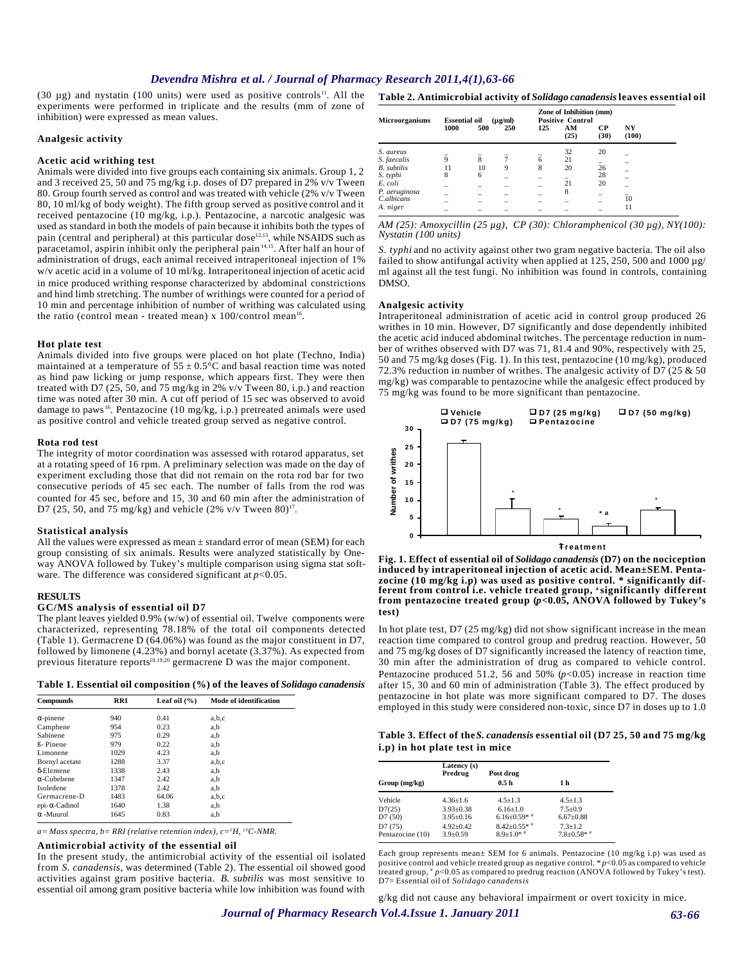# *Devendra Mishra et al. / Journal of Pharmacy Research 2011,4(1),63-66*

(30  $\mu$ g) and nystatin (100 units) were used as positive controls<sup>11</sup>. All the experiments were performed in triplicate and the results (mm of zone of inhibition) were expressed as mean values.

### **Analgesic activity**

# **Acetic acid writhing test**

Animals were divided into five groups each containing six animals. Group 1, 2 and 3 received 25, 50 and 75 mg/kg i.p. doses of D7 prepared in 2% v/v Tween 80. Group fourth served as control and was treated with vehicle (2% v/v Tween 80, 10 ml/kg of body weight). The fifth group served as positive control and it received pentazocine (10 mg/kg, i.p.). Pentazocine, a narcotic analgesic was used as standard in both the models of pain because it inhibits both the types of pain (central and peripheral) at this particular dose<sup>12,13</sup>, while NSAIDS such as paracetamol, aspirin inhibit only the peripheral pain  $14,15$ . After half an hour of administration of drugs, each animal received intraperitoneal injection of 1% w/v acetic acid in a volume of 10 ml/kg. Intraperitoneal injection of acetic acid in mice produced writhing response characterized by abdominal constrictions and hind limb stretching. The number of writhings were counted for a period of 10 min and percentage inhibition of number of writhing was calculated using the ratio (control mean - treated mean) x  $100$ /control mean<sup>16</sup>.

#### **Hot plate test**

Animals divided into five groups were placed on hot plate (Techno, India) maintained at a temperature of  $55 \pm 0.5^{\circ}$ C and basal reaction time was noted as hind paw licking or jump response, which appears first. They were then treated with D7 (25, 50, and 75 mg/kg in 2% v/v Tween 80, i.p.) and reaction time was noted after 30 min. A cut off period of 15 sec was observed to avoid damage to paws <sup>16</sup>. Pentazocine (10 mg/kg, i.p.) pretreated animals were used as positive control and vehicle treated group served as negative control.

### **Rota rod test**

The integrity of motor coordination was assessed with rotarod apparatus, set at a rotating speed of 16 rpm. A preliminary selection was made on the day of experiment excluding those that did not remain on the rota rod bar for two consecutive periods of 45 sec each. The number of falls from the rod was counted for 45 sec, before and 15, 30 and 60 min after the administration of D7 (25, 50, and 75 mg/kg) and vehicle (2% v/v Tween 80)<sup>17</sup>.

#### **Statistical analysis**

All the values were expressed as mean  $\pm$  standard error of mean (SEM) for each group consisting of six animals. Results were analyzed statistically by Oneway ANOVA followed by Tukey's multiple comparison using sigma stat software. The difference was considered significant at *p*<0.05.

### **RESULTS**

### **GC/MS analysis of essential oil D7**

The plant leaves yielded  $0.9\%$  (w/w) of essential oil. Twelve components were characterized, representing 78.18% of the total oil components detected (Table 1). Germacrene D (64.06%) was found as the major constituent in D7, followed by limonene (4.23%) and bornyl acetate  $(3.37\%)$ . As expected from previous literature reports $18,19,20$  germacrene D was the major component.

| Table 1. Essential oil composition (%) of the leaves of Solidago canadensis |  |  |  |
|-----------------------------------------------------------------------------|--|--|--|
|-----------------------------------------------------------------------------|--|--|--|

| Compounds            | <b>RRI</b> | Leaf oil $(\% )$ | <b>Mode of identification</b> |
|----------------------|------------|------------------|-------------------------------|
| $\alpha$ -pinene     | 940        | 0.41             | a,b,c                         |
| Camphene             | 954        | 0.23             | a.b                           |
| Sabinene             | 975        | 0.29             | a,b                           |
| <b>B</b> -Pinene     | 979        | 0.22             | a.b                           |
| Limonene             | 1029       | 4.23             | a,b                           |
| Bornyl acetate       | 1288       | 3.37             | a,b,c                         |
| $\delta$ -Elemene    | 1338       | 2.43             | a.b                           |
| $\alpha$ -Cubebene   | 1347       | 2.42             | a,b                           |
| Isoledene            | 1378       | 2.42             | a,b                           |
| Germacrene-D         | 1483       | 64.06            | a,b,c                         |
| $epi-\alpha-Cadinol$ | 1640       | 1.38             | a,b                           |
| $\alpha$ -Muurol     | 1645       | 0.83             | a,b                           |
|                      |            |                  |                               |

*a= Mass spectra, b= RRI (relative retention index), c=1H, 13C-NMR.*

#### **Antimicrobial activity of the essential oil**

In the present study, the antimicrobial activity of the essential oil isolated from *S. canadensis*, was determined (Table 2). The essential oil showed good activities against gram positive bacteria. *B. subtilis* was most sensitive to essential oil among gram positive bacteria while low inhibition was found with

| <b>Microorganisms</b> | <b>Essential oil</b><br>$(\mu\varrho/ml)$ |     |     | Zone of Inhibition (mm)<br><b>Positive Control</b> |            |            |             |  |
|-----------------------|-------------------------------------------|-----|-----|----------------------------------------------------|------------|------------|-------------|--|
|                       | 1000                                      | 500 | 250 | 125                                                | AM<br>(25) | CР<br>(30) | NY<br>(100) |  |
| S. aureus             |                                           |     |     |                                                    | 32         | 20         |             |  |
| S. faecalis           | 9                                         | 8   |     | 6                                                  | 21         |            |             |  |
| <b>B.</b> subtilis    | 11                                        | 10  | 9   | 8                                                  | 20         | 26         |             |  |
| S. typhi              |                                           | 6   |     |                                                    |            | 28         |             |  |
| E. coli               |                                           |     |     |                                                    | 21         | 20         |             |  |
| P. aeruginosa         |                                           |     |     |                                                    | 8          |            |             |  |
| C.albicans            |                                           |     |     |                                                    |            |            | 10          |  |
| A. niger              |                                           |     |     |                                                    |            |            | 11          |  |

### *AM (25): Amoxycillin (25 µg), CP (30): Chloramphenicol (30 µg), NY(100): Nystatin (100 units)*

*S. typhi* and no activity against other two gram negative bacteria. The oil also failed to show antifungal activity when applied at 125, 250, 500 and 1000 µg/ ml against all the test fungi. No inhibition was found in controls, containing DMSO.

### **Analgesic activity**

Intraperitoneal administration of acetic acid in control group produced 26 writhes in 10 min. However, D7 significantly and dose dependently inhibited the acetic acid induced abdominal twitches. The percentage reduction in number of writhes observed with D7 was 71, 81.4 and 90%, respectively with 25, 50 and 75 mg/kg doses (Fig. 1). In this test, pentazocine (10 mg/kg), produced 72.3% reduction in number of writhes. The analgesic activity of D7 (25  $&$  50 mg/kg) was comparable to pentazocine while the analgesic effect produced by 75 mg/kg was found to be more significant than pentazocine.



**Fig. 1. Effect of essential oil of** *Solidago canadensis* **(D7) on the nociception induced by intraperitoneal injection of acetic acid. Mean±SEM. Pentazocine (10 mg/kg i.p) was used as positive control. \* significantly different from control i.e. vehicle treated group, a significantly different from pentazocine treated group (***p***<0.05, ANOVA followed by Tukey's test)**

In hot plate test, D7 (25 mg/kg) did not show significant increase in the mean reaction time compared to control group and predrug reaction. However, 50 and 75 mg/kg doses of D7 significantly increased the latency of reaction time, 30 min after the administration of drug as compared to vehicle control. Pentazocine produced 51.2, 56 and 50%  $(p<0.05)$  increase in reaction time after 15, 30 and 60 min of administration (Table 3). The effect produced by pentazocine in hot plate was more significant compared to D7. The doses employed in this study were considered non-toxic, since D7 in doses up to 1.0

**Table 3. Effect of the** *S. canadensis* **essential oil (D7 25, 50 and 75 mg/kg i.p) in hot plate test in mice**

|                  | Latency (s)<br>Predrug | Post drug           |                    |
|------------------|------------------------|---------------------|--------------------|
| Group (mg/kg)    |                        | 0.5 <sub>h</sub>    | 1 h                |
| Vehicle          | $4.36 \pm 1.6$         | $4.5 + 1.3$         | $4.5 + 1.3$        |
| D7(25)           | $3.93 \pm 0.38$        | $6.16 \pm 1.0$      | $7.5+0.9$          |
| D7(50)           | $3.95 \pm 0.16$        | $6.16 \pm 0.59$ * * | $6.67 \pm 0.88$    |
| D7(75)           | $4.92 \pm 0.42$        | $8.42 \pm 0.55$ * * | $7.3 + 1.2$        |
| Pentazocine (10) | $3.9 \pm 0.59$         | $8.9 + 1.0*$        | $7.8 \pm 0.58$ * * |

Each group represents mean± SEM for 6 animals. Pentazocine (10 mg/kg i.p) was used as positive control and vehicle treated group as negative control. \* *p*<0.05 as compared to vehicle treated group,  $\sqrt[p]{p}$  p $\leq$  0.05 as compared to predrug reaction (ANOVA followed by Tukey's test). D7= Essential oil of *Solidago canadensis*

g/kg did not cause any behavioral impairment or overt toxicity in mice.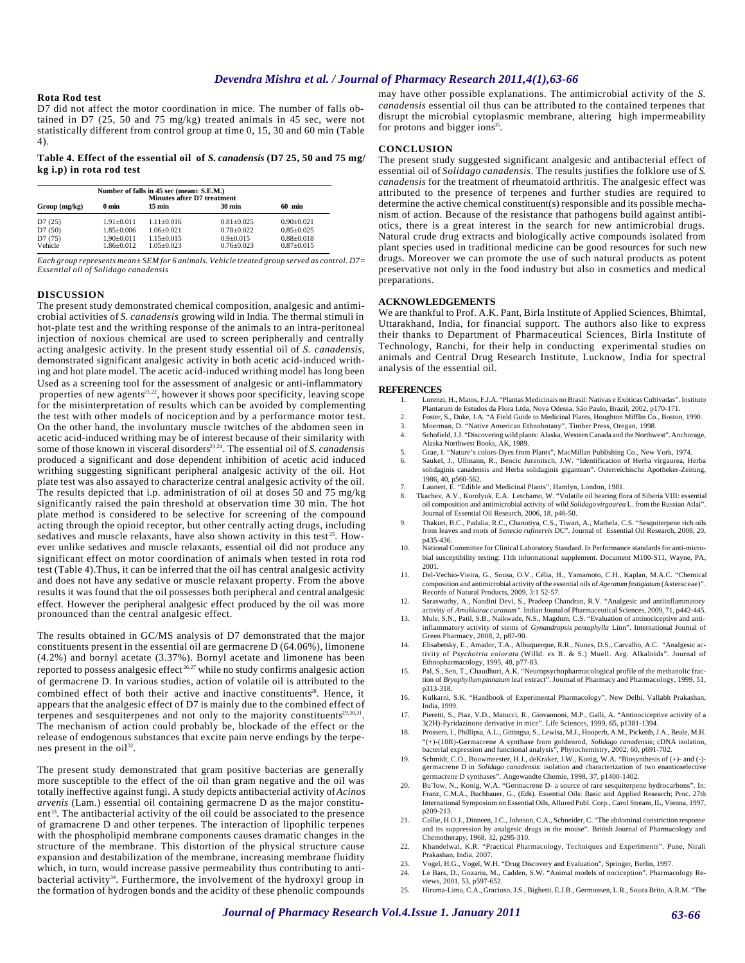# *Devendra Mishra et al. / Journal of Pharmacy Research 2011,4(1),63-66*

# **Rota Rod test**

D7 did not affect the motor coordination in mice. The number of falls obtained in D7 (25, 50 and 75 mg/kg) treated animals in 45 sec, were not statistically different from control group at time 0, 15, 30 and 60 min (Table 4).

**Table 4. Effect of the essential oil of** *S. canadensis* **(D7 25, 50 and 75 mg/ kg i.p) in rota rod test**

| Number of falls in 45 sec (mean± S.E.M.)<br><b>Minutes after D7 treatment</b> |                                    |                                  |                                   |                                  |
|-------------------------------------------------------------------------------|------------------------------------|----------------------------------|-----------------------------------|----------------------------------|
| Group (mg/kg)                                                                 | 0 <sub>min</sub>                   | $15 \text{ min}$                 | <b>30 min</b>                     | $60$ min                         |
| D7(25)                                                                        | $1.91 + 0.011$                     | $1.11 + 0.016$                   | $0.81 + 0.025$                    | $0.90 + 0.021$                   |
| D7(50)                                                                        | $1.85 \pm 0.006$                   | $1.06 + 0.021$                   | $0.78 + 0.022$                    | $0.85 \pm 0.025$                 |
| D7(75)<br>Vehicle                                                             | $1.90 \pm 0.011$<br>$1.86 + 0.012$ | $1.15 + 0.015$<br>$1.05 + 0.023$ | $0.9 \pm 0.015$<br>$0.76 + 0.023$ | $0.88 \pm 0.018$<br>$0.87+0.015$ |

*Each group represents mean± SEM for 6 animals. Vehicle treated group served as control. D7= Essential oil of Solidago canadensis*

### **DISCUSSION**

The present study demonstrated chemical composition, analgesic and antimicrobial activities of *S. canadensis* growing wild in India*.* The thermal stimuli in hot-plate test and the writhing response of the animals to an intra-peritoneal injection of noxious chemical are used to screen peripherally and centrally acting analgesic activity. In the present study essential oil of *S. canadensis*, demonstrated significant analgesic activity in both acetic acid-induced writhing and hot plate model. The acetic acid-induced writhing model has long been Used as a screening tool for the assessment of analgesic or anti-inflammatory properties of new agents<sup>21,22</sup>, however it shows poor specificity, leaving scope for the misinterpretation of results which can be avoided by complementing the test with other models of nociception and by a performance motor test. On the other hand, the involuntary muscle twitches of the abdomen seen in acetic acid-induced writhing may be of interest because of their similarity with some of those known in visceral disorders<sup>23,24</sup>. The essential oil of *S. canadensis* produced a significant and dose dependent inhibition of acetic acid induced writhing suggesting significant peripheral analgesic activity of the oil. Hot plate test was also assayed to characterize central analgesic activity of the oil. The results depicted that i.p. administration of oil at doses 50 and 75 mg/kg significantly raised the pain threshold at observation time 30 min. The hot plate method is considered to be selective for screening of the compound acting through the opioid receptor, but other centrally acting drugs, including sedatives and muscle relaxants, have also shown activity in this test<sup>25</sup>. However unlike sedatives and muscle relaxants, essential oil did not produce any significant effect on motor coordination of animals when tested in rota rod test (Table 4).Thus, it can be inferred that the oil has central analgesic activity and does not have any sedative or muscle relaxant property. From the above results it was found that the oil possesses both peripheral and central analgesic effect. However the peripheral analgesic effect produced by the oil was more pronounced than the central analgesic effect.

The results obtained in GC/MS analysis of D7 demonstrated that the major constituents present in the essential oil are germacrene D (64.06%), limonene (4.2%) and bornyl acetate (3.37%). Bornyl acetate and limonene has been reported to possess analgesic effect<sup>26,27</sup> while no study confirms analgesic action of germacrene D. In various studies, action of volatile oil is attributed to the combined effect of both their active and inactive constituents<sup>28</sup>. Hence, it appears that the analgesic effect of D7 is mainly due to the combined effect of terpenes and sesquiterpenes and not only to the majority constituents<sup>29,30,31</sup>. The mechanism of action could probably be, blockade of the effect or the release of endogenous substances that excite pain nerve endings by the terpenes present in the  $oil^{32}$ .

The present study demonstrated that gram positive bacterias are generally more susceptible to the effect of the oil than gram negative and the oil was totally ineffective against fungi. A study depicts antibacterial activity of *Acinos arvenis* (Lam.) essential oil containing germacrene D as the major constituent<sup>33</sup>. The antibacterial activity of the oil could be associated to the presence of gramacrene D and other terpenes. The interaction of lipophilic terpenes with the phospholipid membrane components causes dramatic changes in the structure of the membrane. This distortion of the physical structure cause expansion and destabilization of the membrane, increasing membrane fluidity which, in turn, would increase passive permeability thus contributing to antibacterial activity<sup>34</sup>. Furthermore, the involvement of the hydroxyl group in the formation of hydrogen bonds and the acidity of these phenolic compounds

may have other possible explanations. The antimicrobial activity of the *S. canadensis* essential oil thus can be attributed to the contained terpenes that disrupt the microbial cytoplasmic membrane, altering high impermeability for protons and bigger ions<sup>35</sup>.

#### **CONCLUSION**

The present study suggested significant analgesic and antibacterial effect of essential oil of *Solidago canadensis*. The results justifies the folklore use of *S. canadensis* for the treatment of rheumatoid arthritis. The analgesic effect was attributed to the presence of terpenes and further studies are required to determine the active chemical constituent(s) responsible and its possible mechanism of action. Because of the resistance that pathogens build against antibiotics, there is a great interest in the search for new antimicrobial drugs. Natural crude drug extracts and biologically active compounds isolated from plant species used in traditional medicine can be good resources for such new drugs. Moreover we can promote the use of such natural products as potent preservative not only in the food industry but also in cosmetics and medical preparations.

# **ACKNOWLEDGEMENTS**

We are thankful to Prof. A.K. Pant, Birla Institute of Applied Sciences, Bhimtal, Uttarakhand, India, for financial support. The authors also like to express their thanks to Department of Pharmaceutical Sciences, Birla Institute of Technology, Ranchi, for their help in conducting experimental studies on animals and Central Drug Research Institute, Lucknow, India for spectral analysis of the essential oil.

#### **REFERENCES**

- 1. Lorenzi, H., Matos, F.J.A. "Plantas Medicinais no Brasil: Nativas e Exóticas Cultivadas". Instituto Plantarum de Estudos da Flora Ltda, Nova Odessa. São Paulo, Brazil, 2002, p170-171.
- 2. Foster, S., Duke, J.A*.* "A Field Guide to Medicinal Plants, Houghton Mifflin Co., Boston, 1990.
- 3. Moerman, D. "Native American Ethnobotany", Timber Press, Oregan, 1998. 4. Schofield, J.J. "Discovering wild plants: Alaska, Western Canada and the Northwest".Anchorage, Alaska Northwest Books, AK, 1989.
- 5. Grae, I. "Nature's colors-Dyes from Plants", MacMillan Publishing Co., New York, 1974.
- 6. Saukel, J., Ullmann, R., Bencic Jurenitsch, J.W. "Identification of Herba virgaurea, Herba solidaginis canadensis and Herba solidaginis gigantean". Osterreichische Apotheker-Zeitung, 1986, 40, p560-562.
- 7. Launert, E. "Edible and Medicinal Plants", Hamlyn, London, 1981.
- 8. Tkachev, A.V., Korolyuk, E.A. Letchamo, W. "Volatile oil bearing flora of Siberia VIII: essential oil composition and antimicrobial activity of wild *Solidago virgaurea* L. from the Russian Atlai". Journal of Essential Oil Research, 2006, 18, p46-50.
- 9. Thakuri, B.C., Padalia, R.C., Chanotiya, C.S., Tiwari, A., Mathela, C.S. "Sesquiterpene rich oils from leaves and roots of *Senecio rufinervis* DC". Journal of Essential Oil Research, 2008, 20, p435-436.
- 10. National Committee for Clinical Laboratory Standard. In Performance standards for anti-microbial susceptibility testing: 11th informational supplement. Document M100-S11, Wayne, PA, 2001.
- 11. Del-Vechio-Vieira, G., Sousa, O.V., Célia, H., Yamamoto, C.H., Kaplan, M.A.C. "Chemical composition and antimicrobial activity of the essential oils of *Ageratum fastigiatum* (Asteraceae)". Records of Natural Products, 2009, 3:1 52-57.
- 12. Saraswathy, A., Nandini Devi, S., Pradeep Chandran, R.V. "Analgesic and antiinflammatory activity of *Amukkarac curanam".* Indian Jounal of Pharmaceutical Sciences, 2009, 71, p442-445.
- 13. Mule, S.N., Patil, S.B., Naikwade, N.S., Magdum, C.S. "Evaluation of antinociceptive and antiinflammatory activity of stems of *Gynandropsis pentaphylla* Linn". International Journal of Green Pharmacy, 2008, 2, p87-90.
- 14. Elisabetsky, E., Amador, T.A., Albuquerque, R.R., Nunes, D.S., Carvalho, A.C. "Analgesic activity of *Psychotria colorata* (Willd. ex R. & S.) Muell. Arg. Alkaloids". Journal of
- Ethnopharmacology, 1995, 48, p77-83. 15. Pal, S., Sen, T., Chaudhuri, A.K. "Neuropsychopharmacological profile of the methanolic fraction of *Bryophyllum pinnatum* leaf extract". Journal of Pharmacy and Pharmacology, 1999, 51, p313-318.
- 16. Kulkarni, S.K. "Handbook of Experimental Pharmacology". New Delhi, Vallabh Prakashan, India, 1999.
- 17. Pieretti, S., Piaz, V.D., Matucci, R., Giovannoni, M.P., Galli, A. "Antinociceptive activity of a 3(2H)-Pyridazinone derivative in mice". Life Sciences, 1999, 65, p1381-1394.
- 18. Prossera, I., Phillipsa, A.L., Gittingsa, S., Lewisa, M.J., Hooperb, A.M., Pickettb, J.A., Beale, M.H. "(+)-(10R)-Germacrene A synthase from goldenrod, *Solidago canadensis*; cDNA isolation, bacterial expression and functional analysis", Phytochemistry, 2002, 60, p691-702.
- 19. Schmidt, C.O., Bouwmeester, H.J., deKraker, J.W., Konig, W.A. "Biosynthesis of (+)- and (-)- germacrene D in *Solidago canadensis*: isolation and characterization of two enantioselective germacrene D synthases". Angewandte Chemie, 1998, 37, p1400-1402.
- 20. Bu¨low, N., Konig, W.A. "Germacrene D- a source of rare sesquiterpene hydrocarbons". In: Franz, C.M.A., Buchbauer, G., (Eds). Essential Oils: Basic and Applied Research; Proc. 27th International Symposium on Essential Oils, Allured Publ. Corp., Carol Stream, IL, Vienna, 1997, p209-213.
- 21. Collie, H.O.J., Dinneen, J.C., Johnson, C.A., Schneider, C. "The abdominal constriction response and its suppression by analgesic drugs in the mouse". British Journal of Pharmacology and Chemotherapy, 1968, 32, p295-310.
- 22. Khandelwal, K.R. "Practical Pharmacology, Techniques and Experiments". Pune, Nirali Prakashan, India, 2007.
- 23. Vogel, H.G., Vogel, W.H. "Drug Discovery and Evaluation", Springer, Berlin, 1997.
- 24. Le Bars, D., Gozariu, M., Cadden, S.W. "Animal models of nociception". Pharmacology Reviews, 2001, 53, p597-652.
- 25. Hiruma-Lima, C.A., Gracioso, J.S., Bighetti, E.J.B., Germonsen, L.R., Souza Brito, A.R.M. "The